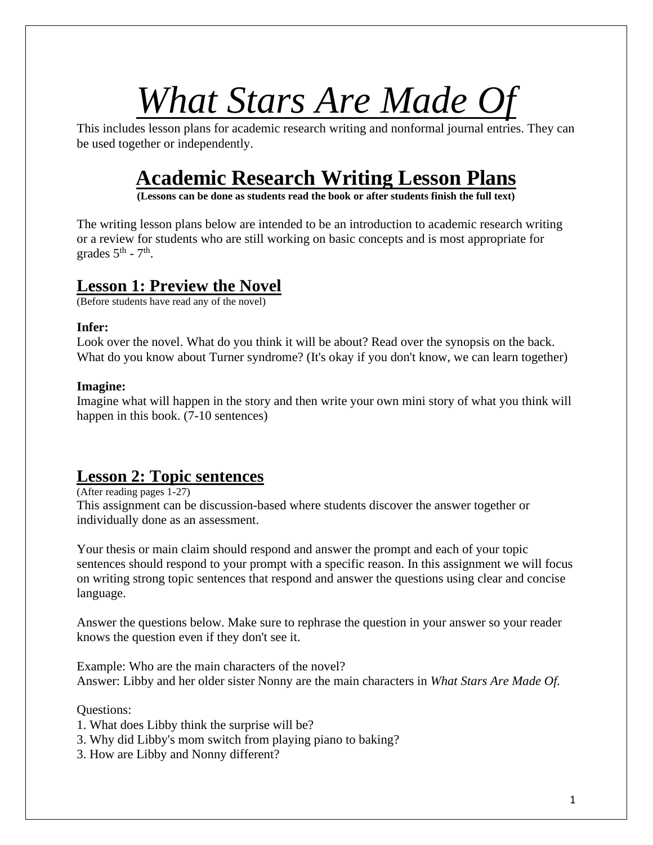# *What Stars Are Made Of*

This includes lesson plans for academic research writing and nonformal journal entries. They can be used together or independently.

## **Academic Research Writing Lesson Plans**

**(Lessons can be done as students read the book or after students finish the full text)**

The writing lesson plans below are intended to be an introduction to academic research writing or a review for students who are still working on basic concepts and is most appropriate for grades  $5^{\text{th}}$  -  $7^{\text{th}}$ .

### **Lesson 1: Preview the Novel**

(Before students have read any of the novel)

#### **Infer:**

Look over the novel. What do you think it will be about? Read over the synopsis on the back. What do you know about Turner syndrome? (It's okay if you don't know, we can learn together)

#### **Imagine:**

Imagine what will happen in the story and then write your own mini story of what you think will happen in this book. (7-10 sentences)

## **Lesson 2: Topic sentences**

(After reading pages 1-27) This assignment can be discussion-based where students discover the answer together or individually done as an assessment.

Your thesis or main claim should respond and answer the prompt and each of your topic sentences should respond to your prompt with a specific reason. In this assignment we will focus on writing strong topic sentences that respond and answer the questions using clear and concise language.

Answer the questions below. Make sure to rephrase the question in your answer so your reader knows the question even if they don't see it.

Example: Who are the main characters of the novel? Answer: Libby and her older sister Nonny are the main characters in *What Stars Are Made Of.*

Questions:

- 1. What does Libby think the surprise will be?
- 3. Why did Libby's mom switch from playing piano to baking?
- 3. How are Libby and Nonny different?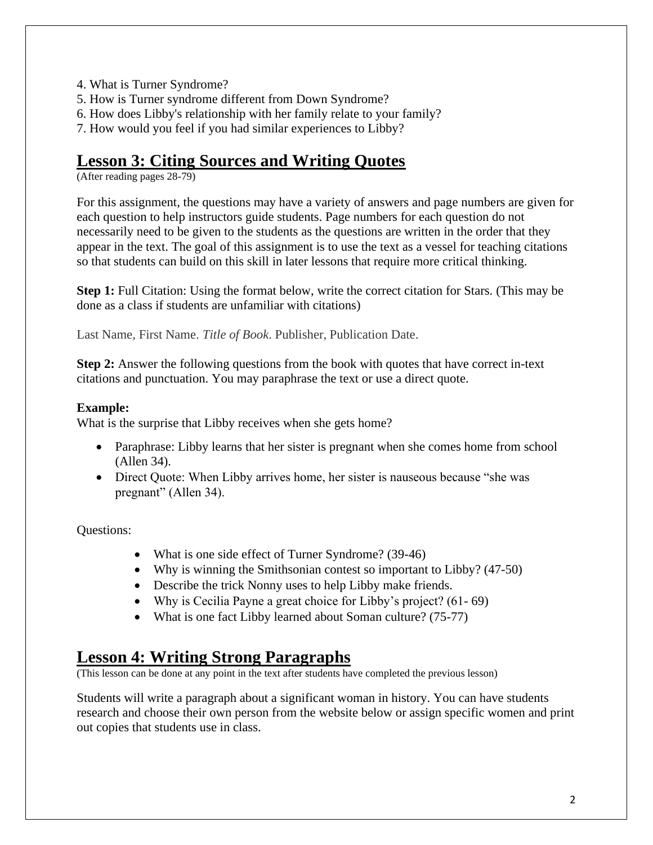- 4. What is Turner Syndrome?
- 5. How is Turner syndrome different from Down Syndrome?
- 6. How does Libby's relationship with her family relate to your family?
- 7. How would you feel if you had similar experiences to Libby?

## **Lesson 3: Citing Sources and Writing Quotes**

(After reading pages 28-79)

For this assignment, the questions may have a variety of answers and page numbers are given for each question to help instructors guide students. Page numbers for each question do not necessarily need to be given to the students as the questions are written in the order that they appear in the text. The goal of this assignment is to use the text as a vessel for teaching citations so that students can build on this skill in later lessons that require more critical thinking.

**Step 1:** Full Citation: Using the format below, write the correct citation for Stars. (This may be done as a class if students are unfamiliar with citations)

Last Name, First Name. *Title of Book*. Publisher, Publication Date.

**Step 2:** Answer the following questions from the book with quotes that have correct in-text citations and punctuation. You may paraphrase the text or use a direct quote.

#### **Example:**

What is the surprise that Libby receives when she gets home?

- Paraphrase: Libby learns that her sister is pregnant when she comes home from school (Allen 34).
- Direct Quote: When Libby arrives home, her sister is nauseous because "she was pregnant" (Allen 34).

Questions:

- What is one side effect of Turner Syndrome? (39-46)
- Why is winning the Smithsonian contest so important to Libby? (47-50)
- Describe the trick Nonny uses to help Libby make friends.
- Why is Cecilia Payne a great choice for Libby's project? (61-69)
- What is one fact Libby learned about Soman culture? (75-77)

## **Lesson 4: Writing Strong Paragraphs**

(This lesson can be done at any point in the text after students have completed the previous lesson)

Students will write a paragraph about a significant woman in history. You can have students research and choose their own person from the website below or assign specific women and print out copies that students use in class.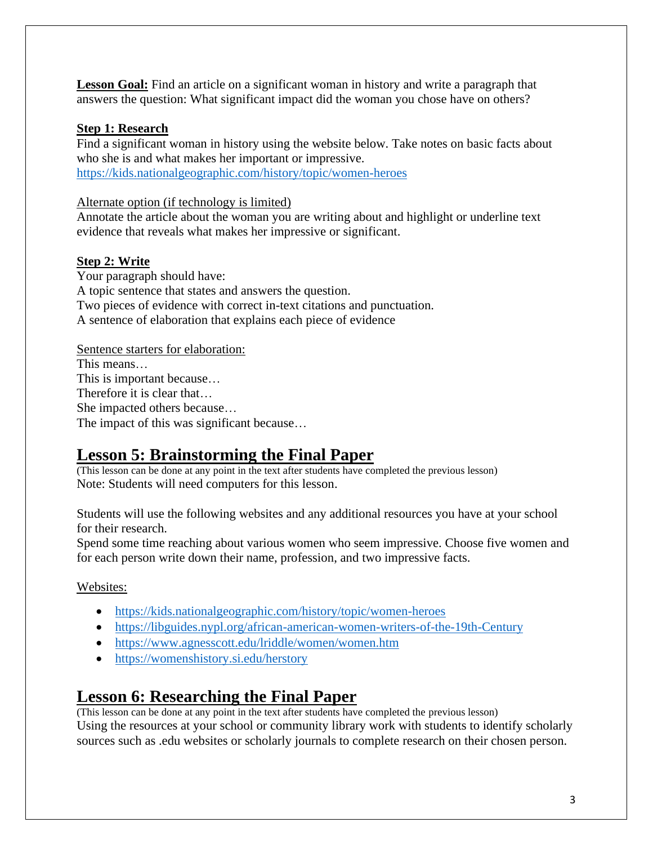**Lesson Goal:** Find an article on a significant woman in history and write a paragraph that answers the question: What significant impact did the woman you chose have on others?

#### **Step 1: Research**

Find a significant woman in history using the website below. Take notes on basic facts about who she is and what makes her important or impressive. <https://kids.nationalgeographic.com/history/topic/women-heroes>

#### Alternate option (if technology is limited)

Annotate the article about the woman you are writing about and highlight or underline text evidence that reveals what makes her impressive or significant.

#### **Step 2: Write**

Your paragraph should have: A topic sentence that states and answers the question. Two pieces of evidence with correct in-text citations and punctuation. A sentence of elaboration that explains each piece of evidence

#### Sentence starters for elaboration:

This means… This is important because… Therefore it is clear that… She impacted others because… The impact of this was significant because…

## **Lesson 5: Brainstorming the Final Paper**

(This lesson can be done at any point in the text after students have completed the previous lesson) Note: Students will need computers for this lesson.

Students will use the following websites and any additional resources you have at your school for their research.

Spend some time reaching about various women who seem impressive. Choose five women and for each person write down their name, profession, and two impressive facts.

#### Websites:

- <https://kids.nationalgeographic.com/history/topic/women-heroes>
- <https://libguides.nypl.org/african-american-women-writers-of-the-19th-Century>
- <https://www.agnesscott.edu/lriddle/women/women.htm>
- <https://womenshistory.si.edu/herstory>

## **Lesson 6: Researching the Final Paper**

(This lesson can be done at any point in the text after students have completed the previous lesson) Using the resources at your school or community library work with students to identify scholarly sources such as .edu websites or scholarly journals to complete research on their chosen person.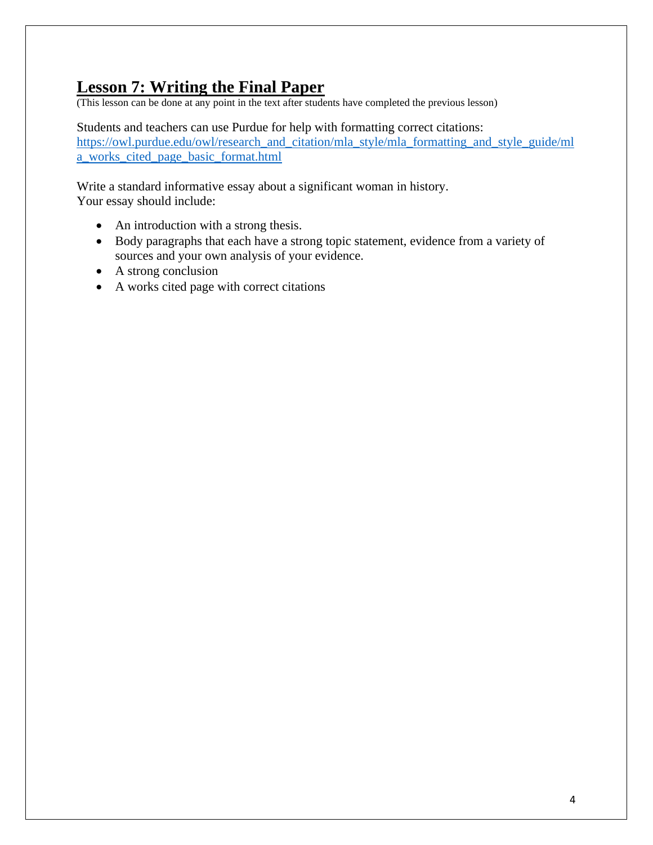## **Lesson 7: Writing the Final Paper**

(This lesson can be done at any point in the text after students have completed the previous lesson)

Students and teachers can use Purdue for help with formatting correct citations: [https://owl.purdue.edu/owl/research\\_and\\_citation/mla\\_style/mla\\_formatting\\_and\\_style\\_guide/ml](https://owl.purdue.edu/owl/research_and_citation/mla_style/mla_formatting_and_style_guide/mla_works_cited_page_basic_format.html) [a\\_works\\_cited\\_page\\_basic\\_format.html](https://owl.purdue.edu/owl/research_and_citation/mla_style/mla_formatting_and_style_guide/mla_works_cited_page_basic_format.html)

Write a standard informative essay about a significant woman in history. Your essay should include:

- An introduction with a strong thesis.
- Body paragraphs that each have a strong topic statement, evidence from a variety of sources and your own analysis of your evidence.
- A strong conclusion
- A works cited page with correct citations